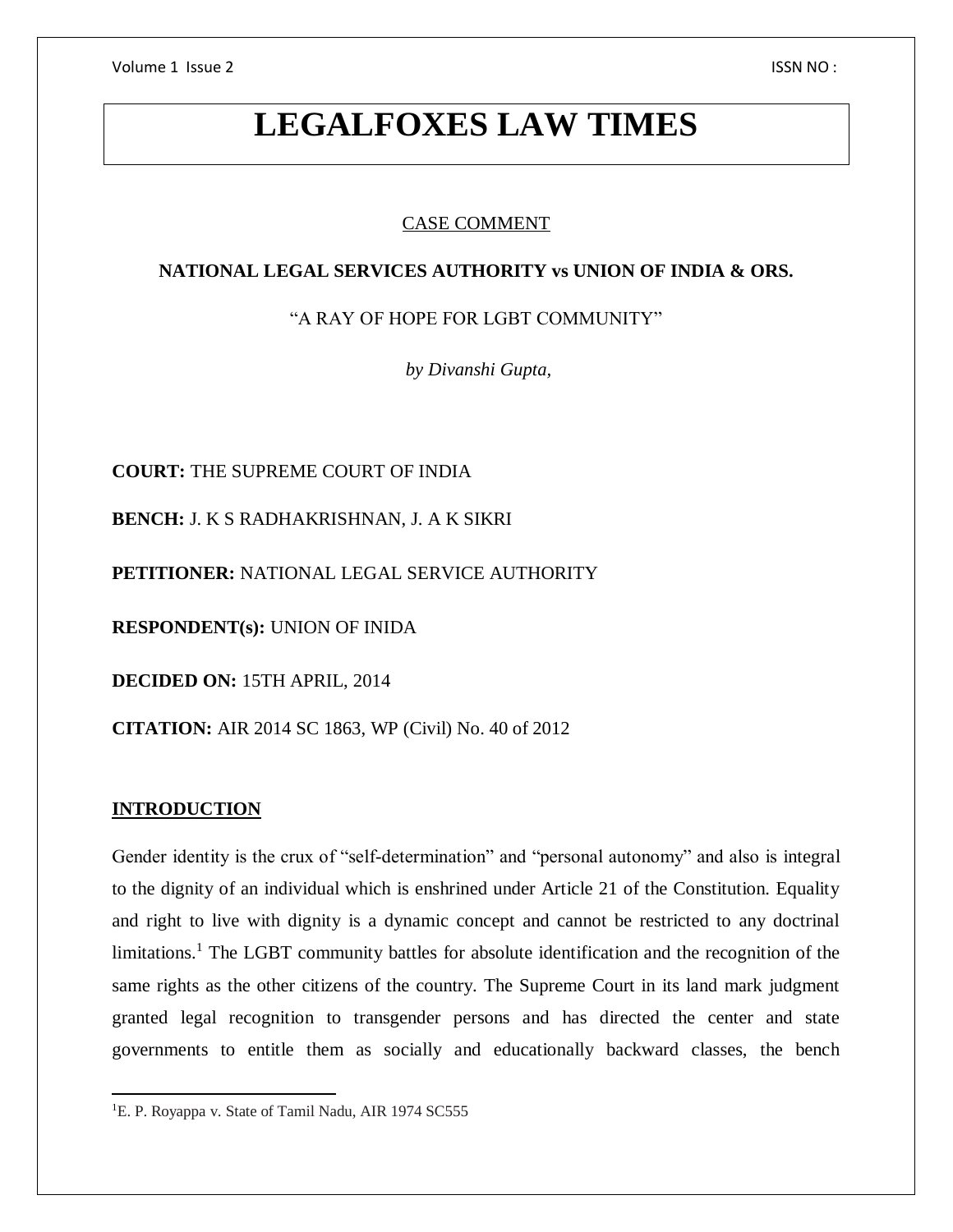Volume 1 Issue 2 ISSN NO :

# **LEGALFOXES LAW TIMES**

# CASE COMMENT

# **NATIONAL LEGAL SERVICES AUTHORITY vs UNION OF INDIA & ORS.**

"A RAY OF HOPE FOR LGBT COMMUNITY"

*by Divanshi Gupta,* 

**COURT:** THE SUPREME COURT OF INDIA

**BENCH:** J. K S RADHAKRISHNAN, J. A K SIKRI

**PETITIONER:** NATIONAL LEGAL SERVICE AUTHORITY

**RESPONDENT(s):** UNION OF INIDA

**DECIDED ON:** 15TH APRIL, 2014

**CITATION:** AIR 2014 SC 1863, WP (Civil) No. 40 of 2012

# **INTRODUCTION**

Gender identity is the crux of "self-determination" and "personal autonomy" and also is integral to the dignity of an individual which is enshrined under Article 21 of the Constitution. Equality and right to live with dignity is a dynamic concept and cannot be restricted to any doctrinal limitations.<sup>1</sup> The LGBT community battles for absolute identification and the recognition of the same rights as the other citizens of the country. The Supreme Court in its land mark judgment granted legal recognition to transgender persons and has directed the center and state governments to entitle them as socially and educationally backward classes, the bench

 $\overline{a}$ <sup>1</sup>E. P. Royappa v. State of Tamil Nadu, AIR 1974 SC555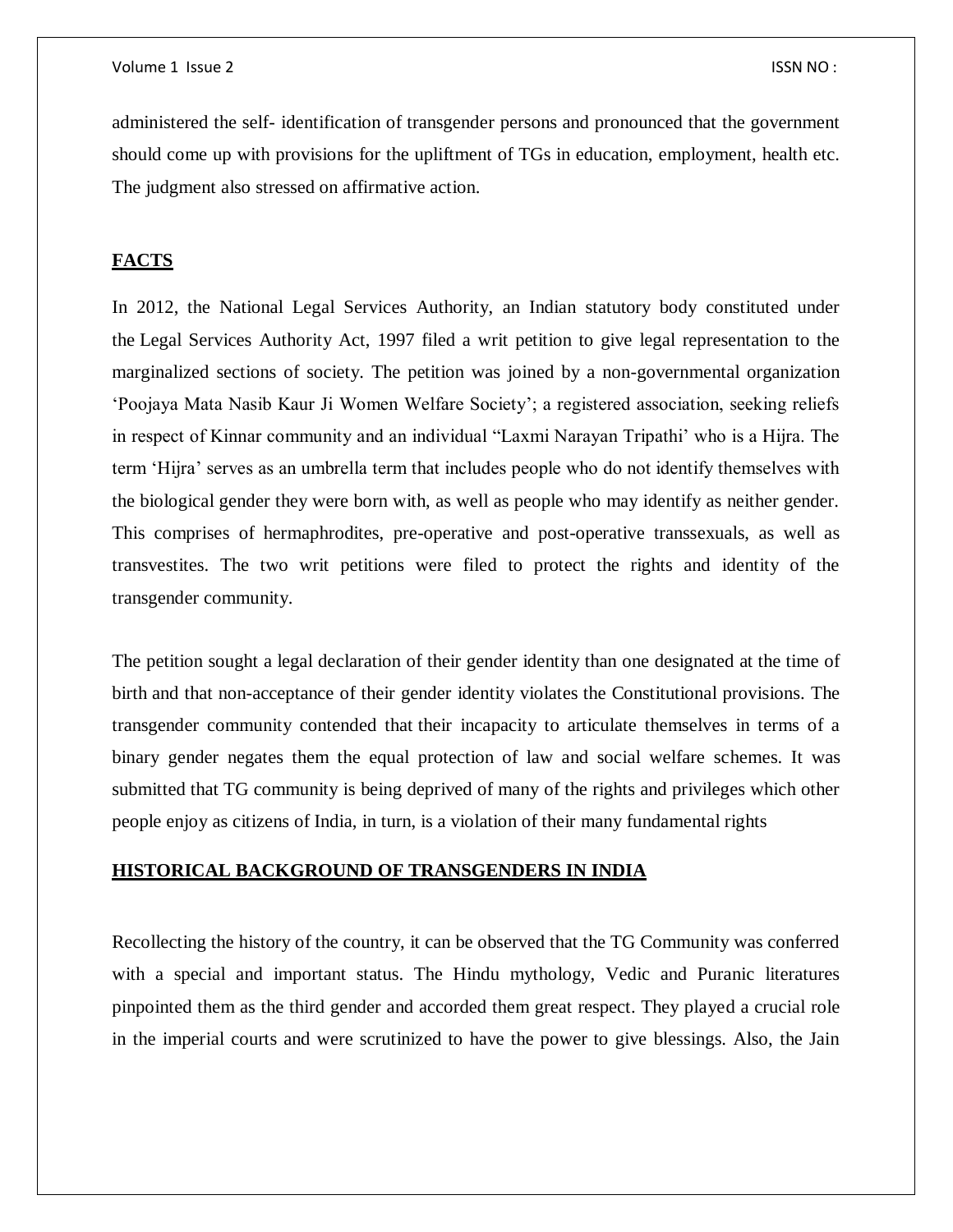administered the self- identification of transgender persons and pronounced that the government should come up with provisions for the upliftment of TGs in education, employment, health etc. The judgment also stressed on affirmative action.

# **FACTS**

In 2012, the National Legal Services Authority, an Indian statutory body constituted under the Legal Services Authority Act, 1997 filed a writ petition to give legal representation to the marginalized sections of society. The petition was joined by a non-governmental organization 'Poojaya Mata Nasib Kaur Ji Women Welfare Society'; a registered association, seeking reliefs in respect of Kinnar community and an individual "Laxmi Narayan Tripathi' who is a Hijra. The term 'Hijra' serves as an umbrella term that includes people who do not identify themselves with the biological gender they were born with, as well as people who may identify as neither gender. This comprises of hermaphrodites, pre-operative and post-operative transsexuals, as well as transvestites. The two writ petitions were filed to protect the rights and identity of the transgender community.

The petition sought a legal declaration of their gender identity than one designated at the time of birth and that non-acceptance of their gender identity violates the Constitutional provisions. The transgender community contended that their incapacity to articulate themselves in terms of a binary gender negates them the equal protection of law and social welfare schemes. It was submitted that TG community is being deprived of many of the rights and privileges which other people enjoy as citizens of India, in turn, is a violation of their many fundamental rights

## **HISTORICAL BACKGROUND OF TRANSGENDERS IN INDIA**

Recollecting the history of the country, it can be observed that the TG Community was conferred with a special and important status. The Hindu mythology, Vedic and Puranic literatures pinpointed them as the third gender and accorded them great respect. They played a crucial role in the imperial courts and were scrutinized to have the power to give blessings. Also, the Jain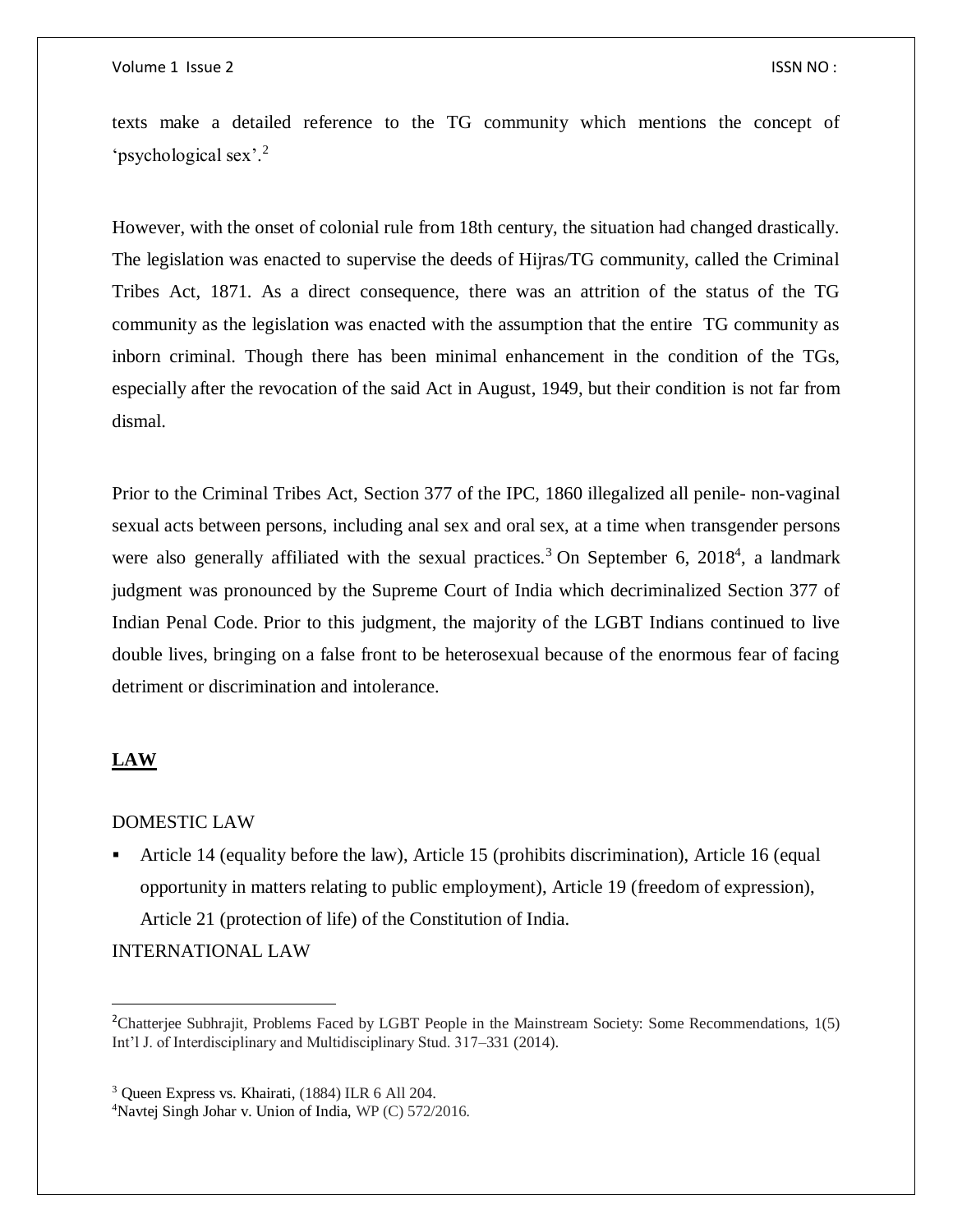texts make a detailed reference to the TG community which mentions the concept of 'psychological sex'.<sup>2</sup>

However, with the onset of colonial rule from 18th century, the situation had changed drastically. The legislation was enacted to supervise the deeds of Hijras/TG community, called the Criminal Tribes Act, 1871. As a direct consequence, there was an attrition of the status of the TG community as the legislation was enacted with the assumption that the entire TG community as inborn criminal. Though there has been minimal enhancement in the condition of the TGs, especially after the revocation of the said Act in August, 1949, but their condition is not far from dismal.

Prior to the Criminal Tribes Act, [Section 377](https://indiankanoon.org/doc/1836974/) of the IPC, 1860 illegalized all penile- non-vaginal sexual acts between persons, including anal sex and oral sex, at a time when transgender persons were also generally affiliated with the sexual practices.<sup>3</sup> On September 6, 2018<sup>4</sup>, a landmark judgment was pronounced by the Supreme Court of India which decriminalized Section 377 of Indian Penal Code. Prior to this judgment, the majority of the LGBT Indians continued to live double lives, bringing on a false front to be heterosexual because of the enormous fear of facing detriment or discrimination and intolerance.

# **LAW**

 $\overline{a}$ 

#### DOMESTIC LAW

 Article 14 (equality before the law), Article 15 (prohibits discrimination), Article 16 (equal opportunity in matters relating to public employment), Article 19 (freedom of expression), Article 21 (protection of life) of the Constitution of India.

INTERNATIONAL LAW

4Navtej Singh Johar v. Union of India, WP (C) 572/2016.

<sup>&</sup>lt;sup>2</sup>Chatterjee Subhrajit, Problems Faced by LGBT People in the Mainstream Society: Some Recommendations, 1(5) Int'l J. of Interdisciplinary and Multidisciplinary Stud. 317–331 (2014).

<sup>3</sup> Queen Express vs. Khairati, (1884) ILR 6 All 204.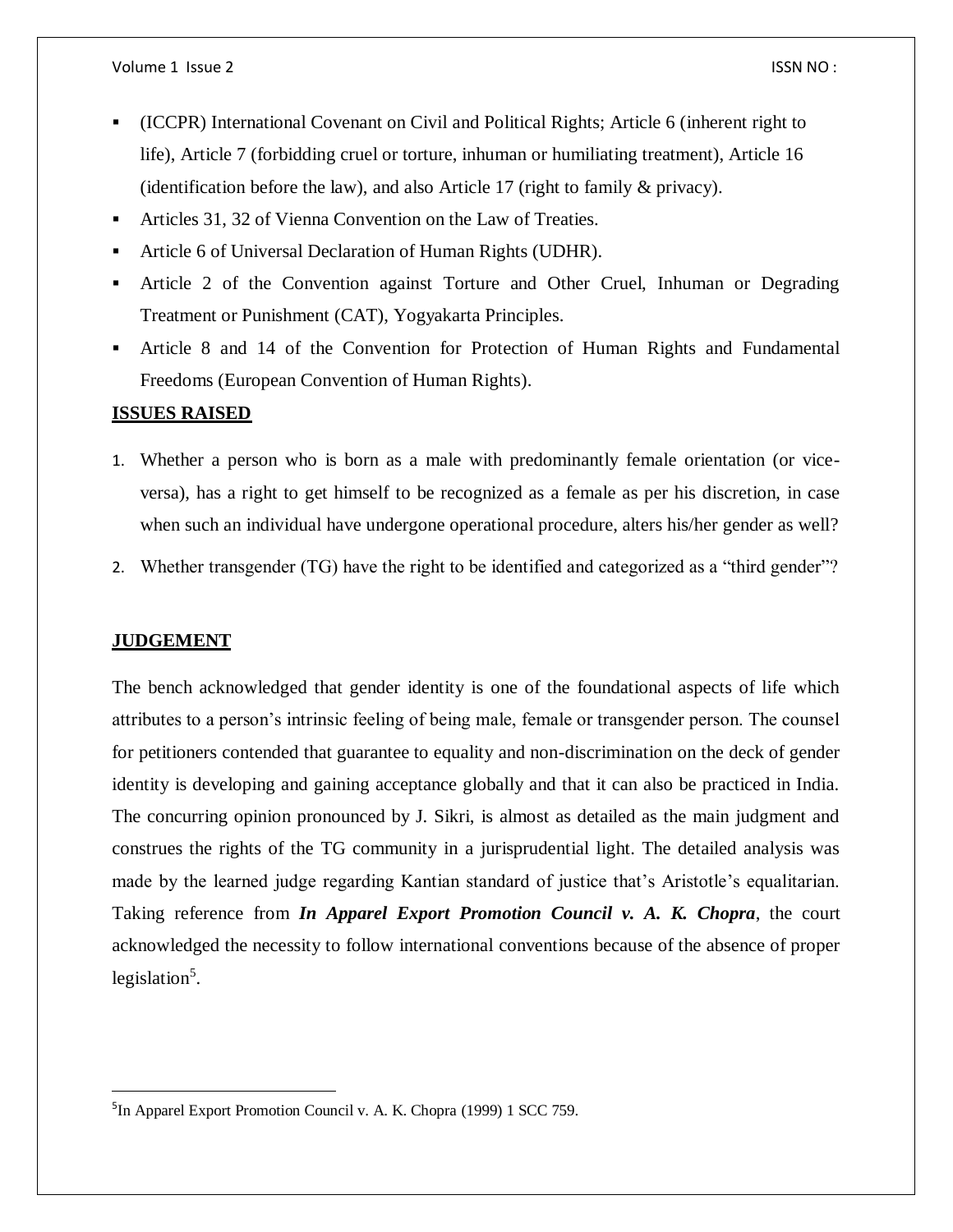- (ICCPR) International Covenant on Civil and Political Rights; Article 6 (inherent right to life), Article 7 (forbidding cruel or torture, inhuman or humiliating treatment), Article 16 (identification before the law), and also Article 17 (right to family & privacy).
- Articles 31, 32 of Vienna Convention on the Law of Treaties.
- Article 6 of Universal Declaration of Human Rights (UDHR).
- Article 2 of the Convention against Torture and Other Cruel, Inhuman or Degrading Treatment or Punishment (CAT), Yogyakarta Principles.
- Article 8 and 14 of the Convention for Protection of Human Rights and Fundamental Freedoms (European Convention of Human Rights).

## **ISSUES RAISED**

- 1. Whether a person who is born as a male with predominantly female orientation (or viceversa), has a right to get himself to be recognized as a female as per his discretion, in case when such an individual have undergone operational procedure, alters his/her gender as well?
- 2. Whether transgender (TG) have the right to be identified and categorized as a "third gender"?

## **JUDGEMENT**

 $\overline{a}$ 

The bench acknowledged that gender identity is one of the foundational aspects of life which attributes to a person's intrinsic feeling of being male, female or transgender person. The counsel for petitioners contended that guarantee to equality and non-discrimination on the deck of gender identity is developing and gaining acceptance globally and that it can also be practiced in India. The concurring opinion pronounced by J. Sikri, is almost as detailed as the main judgment and construes the rights of the TG community in a jurisprudential light. The detailed analysis was made by the learned judge regarding Kantian standard of justice that's Aristotle's equalitarian. Taking reference from *[In Apparel Export Promotion Council v. A. K. Chopra](https://indiankanoon.org/doc/856194/)*, the court acknowledged the necessity to follow international conventions because of the absence of proper legislation<sup>5</sup>.

<sup>&</sup>lt;sup>5</sup>[In Apparel Export Promotion Council v. A. K. Chopra](https://indiankanoon.org/doc/856194/) (1999) 1 SCC 759.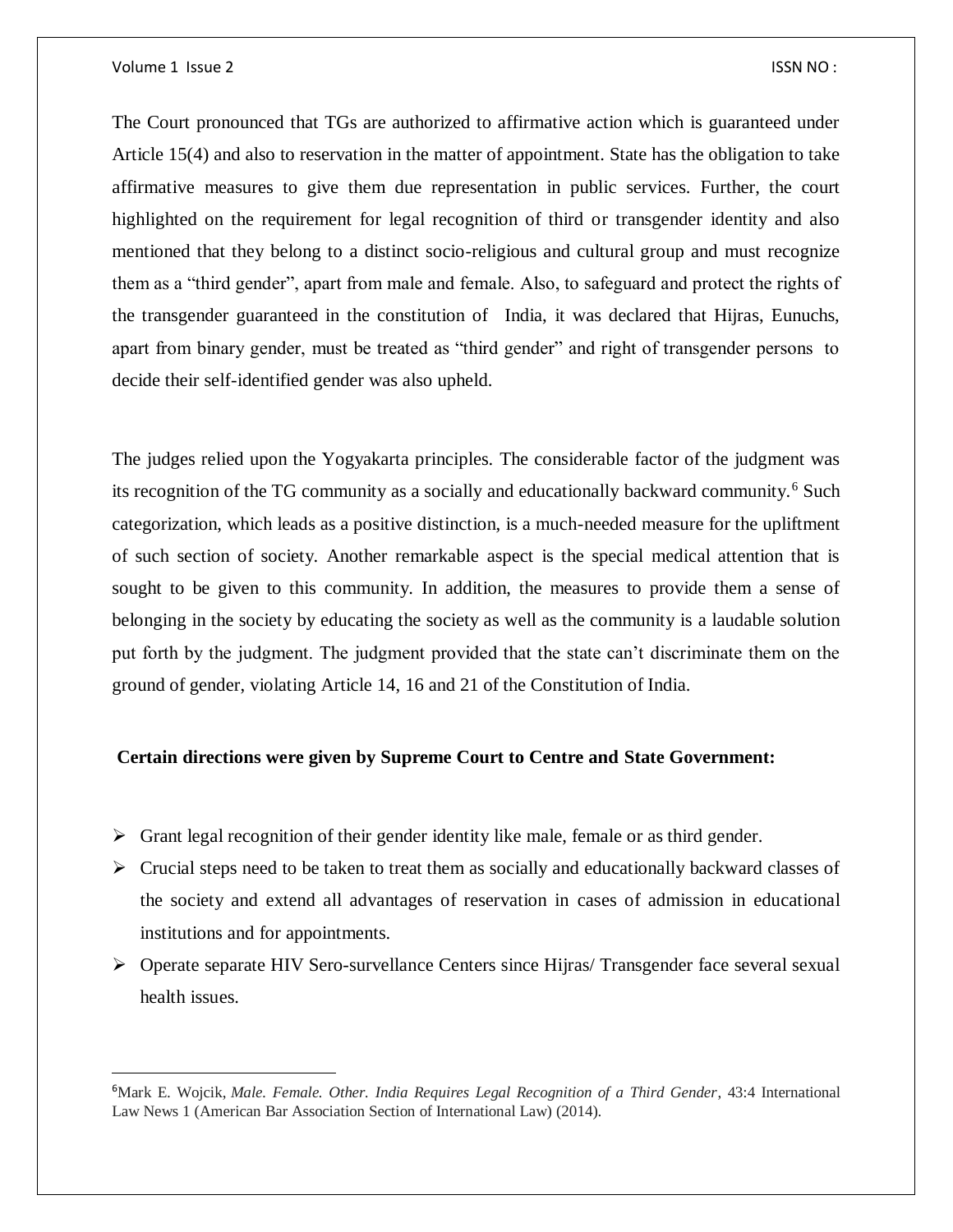Volume 1 Issue 2 ISSN NO :

 $\overline{\phantom{a}}$ 

The Court pronounced that TGs are authorized to affirmative action which is guaranteed under Article 15(4) and also to reservation in the matter of appointment. State has the obligation to take affirmative measures to give them due representation in public services. Further, the court highlighted on the requirement for legal recognition of third or transgender identity and also mentioned that they belong to a distinct socio-religious and cultural group and must recognize them as a "third gender", apart from male and female. Also, to safeguard and protect the rights of the transgender guaranteed in the constitution of India, it was declared that Hijras, Eunuchs, apart from binary gender, must be treated as "third gender" and right of transgender persons to decide their self-identified gender was also upheld.

The judges relied upon the Yogyakarta principles. The considerable factor of the judgment was its recognition of the TG community as a socially and educationally backward community.<sup>6</sup> Such categorization, which leads as a positive distinction, is a much-needed measure for the upliftment of such section of society. Another remarkable aspect is the special medical attention that is sought to be given to this community. In addition, the measures to provide them a sense of belonging in the society by educating the society as well as the community is a laudable solution put forth by the judgment. The judgment provided that the state can't discriminate them on the ground of gender, violating Article 14, 16 and 21 of the Constitution of India.

#### **Certain directions were given by Supreme Court to Centre and State Government:**

- $\triangleright$  Grant legal recognition of their gender identity like male, female or as third gender.
- $\triangleright$  Crucial steps need to be taken to treat them as socially and educationally backward classes of the society and extend all advantages of reservation in cases of admission in educational institutions and for appointments.
- Operate separate HIV Sero-survellance Centers since Hijras/ Transgender face several sexual health issues.

<sup>6</sup>Mark E. Wojcik, *Male. Female. Other. India Requires Legal Recognition of a Third Gender*, 43:4 International Law News 1 (American Bar Association Section of International Law) (2014).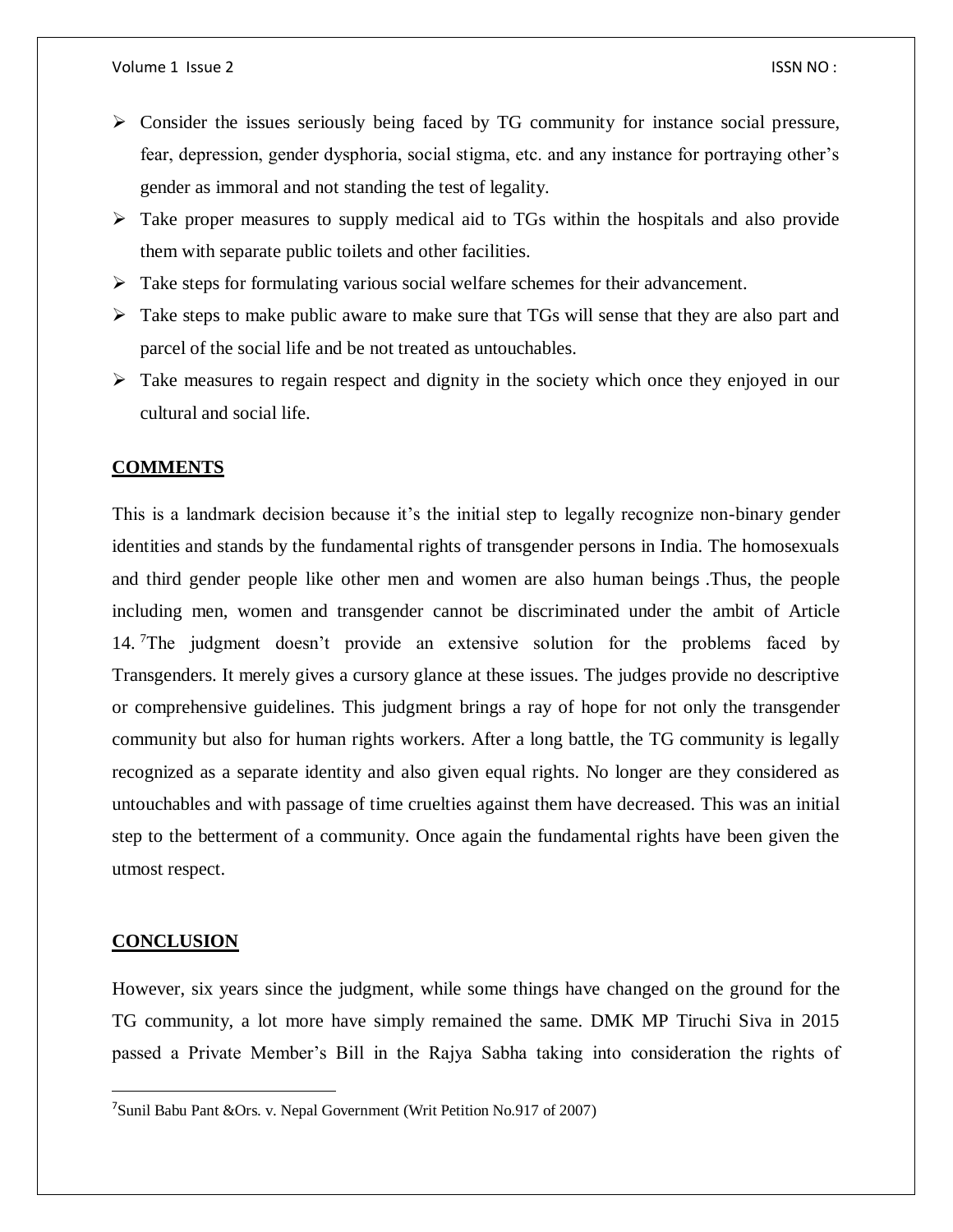- $\triangleright$  Consider the issues seriously being faced by TG community for instance social pressure, fear, depression, gender dysphoria, social stigma, etc. and any instance for portraying other's gender as immoral and not standing the test of legality.
- $\triangleright$  Take proper measures to supply medical aid to TGs within the hospitals and also provide them with separate public toilets and other facilities.
- $\triangleright$  Take steps for formulating various social welfare schemes for their advancement.
- $\triangleright$  Take steps to make public aware to make sure that TGs will sense that they are also part and parcel of the social life and be not treated as untouchables.
- $\triangleright$  Take measures to regain respect and dignity in the society which once they enjoyed in our cultural and social life.

#### **COMMENTS**

This is a landmark decision because it's the initial step to legally recognize non-binary gender identities and stands by the fundamental rights of transgender persons in India. The homosexuals and third gender people like other men and women are also human beings .Thus, the people including men, women and transgender cannot be discriminated under the ambit of Article 14. The judgment doesn't provide an extensive solution for the problems faced by Transgenders. It merely gives a cursory glance at these issues. The judges provide no descriptive or comprehensive guidelines. This judgment brings a ray of hope for not only the transgender community but also for human rights workers. After a long battle, the TG community is legally recognized as a separate identity and also given equal rights. No longer are they considered as untouchables and with passage of time cruelties against them have decreased. This was an initial step to the betterment of a community. Once again the fundamental rights have been given the utmost respect.

#### **CONCLUSION**

 $\overline{a}$ 

However, six years since the judgment, while some things have changed on the ground for the TG community, a lot more have simply remained the same. DMK MP Tiruchi Siva in 2015 passed a Private Member's Bill in the Rajya Sabha taking into consideration the rights of

<sup>&</sup>lt;sup>7</sup>Sunil Babu Pant &Ors. v. Nepal Government (Writ Petition No.917 of 2007)